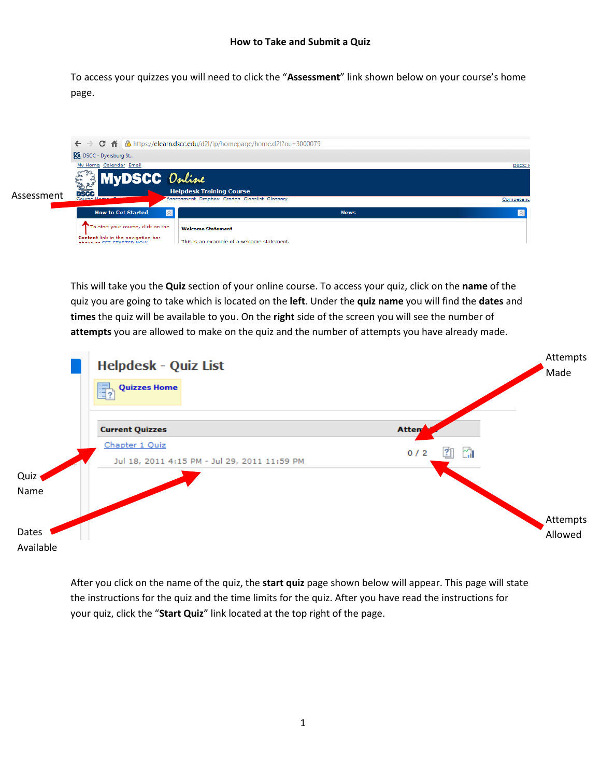To access your quizzes you will need to click the "**Assessment**" link shown below on your course's home page.



This will take you the **Quiz** section of your online course. To access your quiz, click on the **name** of the quiz you are going to take which is located on the **left**. Under the **quiz name** you will find the **dates** and **times** the quiz will be available to you. On the **right** side of the screen you will see the number of **attempts** you are allowed to make on the quiz and the number of attempts you have already made.



After you click on the name of the quiz, the **start quiz** page shown below will appear. This page will state the instructions for the quiz and the time limits for the quiz. After you have read the instructions for your quiz, click the "**Start Quiz**" link located at the top right of the page.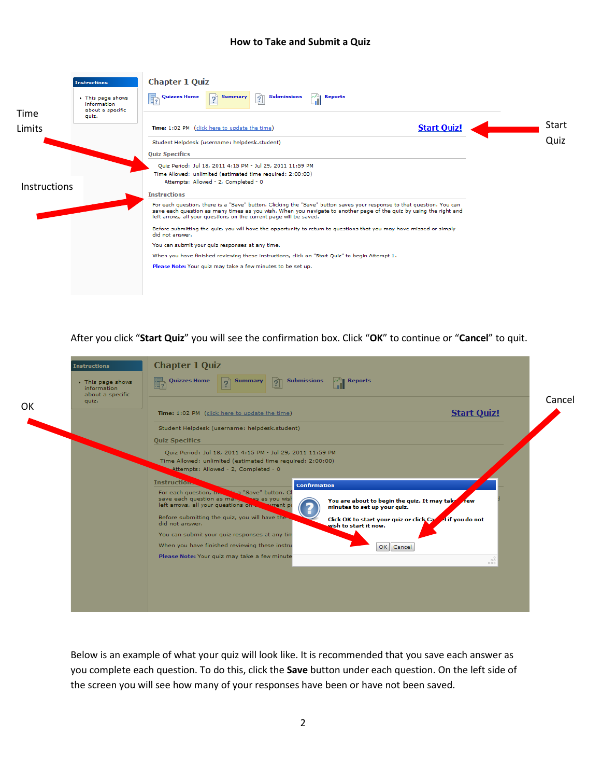|                     | <b>Instructions</b>                                | <b>Chapter 1 Quiz</b>                                                                                                                                                                                                                                                                                             |       |
|---------------------|----------------------------------------------------|-------------------------------------------------------------------------------------------------------------------------------------------------------------------------------------------------------------------------------------------------------------------------------------------------------------------|-------|
| Time                | This page shows<br>information<br>about a specific | b,<br>"<br><b>Submissions</b><br><b>Quizzes Home</b><br><b>Reports</b><br><b>Summary</b><br>$\overline{?}$<br>$\overline{?}$                                                                                                                                                                                      |       |
|                     | quiz.                                              |                                                                                                                                                                                                                                                                                                                   |       |
| Limits              |                                                    | <b>Start Quiz!</b><br>Time: 1:02 PM (click here to update the time)                                                                                                                                                                                                                                               | Start |
|                     |                                                    | Student Helpdesk (username: helpdesk.student)                                                                                                                                                                                                                                                                     | Quiz  |
|                     |                                                    | <b>Quiz Specifics</b>                                                                                                                                                                                                                                                                                             |       |
| <b>Instructions</b> |                                                    | Ouiz Period: Jul 18, 2011 4:15 PM - Jul 29, 2011 11:59 PM<br>Time Allowed: unlimited (estimated time required: 2:00:00)<br>Attempts: Allowed - 2, Completed - 0                                                                                                                                                   |       |
|                     |                                                    | <b>Instructions</b>                                                                                                                                                                                                                                                                                               |       |
|                     |                                                    | For each question, there is a "Save" button. Clicking the "Save" button saves your response to that question. You can<br>save each question as many times as you wish. When you navigate to another page of the quiz by using the right and<br>left arrows, all your questions on the current page will be saved. |       |
|                     |                                                    | Before submitting the quiz, you will have the opportunity to return to questions that you may have missed or simply<br>did not answer.                                                                                                                                                                            |       |
|                     |                                                    | You can submit your quiz responses at any time.                                                                                                                                                                                                                                                                   |       |
|                     |                                                    | When you have finished reviewing these instructions, click on "Start Quiz" to begin Attempt 1.                                                                                                                                                                                                                    |       |
|                     |                                                    |                                                                                                                                                                                                                                                                                                                   |       |

After you click "**Start Quiz**" you will see the confirmation box. Click "**OK**" to continue or "**Cancel**" to quit.

|    | <b>Instructions</b>                                | <b>Chapter 1 Quiz</b>                                                                                                                                                                                                               |        |
|----|----------------------------------------------------|-------------------------------------------------------------------------------------------------------------------------------------------------------------------------------------------------------------------------------------|--------|
|    | This page shows<br>information<br>about a specific | $\sqrt{a}$ Reports<br><b>Quizzes Home</b><br><b>Summary</b><br>$\boxed{2}$ Submissions                                                                                                                                              |        |
| OK | quiz.                                              | <b>Start Quiz!</b><br>Time: 1:02 PM (click here to update the time)                                                                                                                                                                 | Cancel |
|    |                                                    | Student Helpdesk (username: helpdesk.student)                                                                                                                                                                                       |        |
|    |                                                    | <b>Quiz Specifics</b>                                                                                                                                                                                                               |        |
|    |                                                    | Quiz Period: Jul 18, 2011 4:15 PM - Jul 29, 2011 11:59 PM<br>Time Allowed: unlimited (estimated time required: 2:00:00)<br>Attempts: Allowed - 2, Completed - 0                                                                     |        |
|    |                                                    | <b>Instruction.</b><br><b>Confirmation</b>                                                                                                                                                                                          |        |
|    |                                                    | Save" button, Cl<br>For each question, the<br>ses as you wish<br>save each question as man.<br>You are about to begin the quiz. It may take rew<br>left arrows, all your questions on<br>surrent pi<br>minutes to set up your quiz. |        |
|    |                                                    | Before submitting the quiz, you will have the<br>Click OK to start your quiz or click Care al if you do not<br>did not answer.<br>wish to start it now.                                                                             |        |
|    |                                                    | You can submit your quiz responses at any tin                                                                                                                                                                                       |        |
|    |                                                    | When you have finished reviewing these instru<br>OK Cancel                                                                                                                                                                          |        |
|    |                                                    | Please Note: Your quiz may take a few minute                                                                                                                                                                                        |        |
|    |                                                    |                                                                                                                                                                                                                                     |        |
|    |                                                    |                                                                                                                                                                                                                                     |        |
|    |                                                    |                                                                                                                                                                                                                                     |        |
|    |                                                    |                                                                                                                                                                                                                                     |        |

Below is an example of what your quiz will look like. It is recommended that you save each answer as you complete each question. To do this, click the **Save** button under each question. On the left side of the screen you will see how many of your responses have been or have not been saved.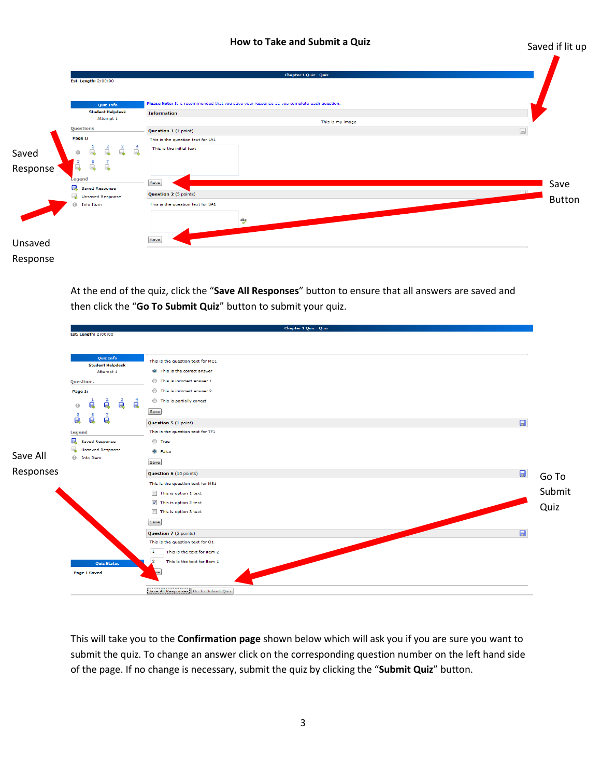Saved if lit up

|          |                                                                                                                                          | <b>Chapter 1 Quiz - Quiz</b>                                                                                                                                                                                                           |                       |
|----------|------------------------------------------------------------------------------------------------------------------------------------------|----------------------------------------------------------------------------------------------------------------------------------------------------------------------------------------------------------------------------------------|-----------------------|
|          | Est. Length: 2:00:00                                                                                                                     |                                                                                                                                                                                                                                        |                       |
| Saved    | Quiz Info<br><b>Student Helpdesk</b><br>Attempt 1<br>Questions<br>Page 1:<br>$\frac{4}{9}$<br>ó.<br>7<br>$\Theta$<br>$\bar{a}$<br>å<br>á | Please Note: It is recommended that you save your response as you complete each question.<br><b>Information</b><br>This is my image<br>$\Box$<br>Question 1 (1 point)<br>This is the question text for LA1<br>This is the initial text |                       |
| Response | Legend<br>Q<br><b>Saved Response</b><br>L.<br><b>Unsaved Response</b><br>$\Theta$<br>Info Item                                           | Save<br>Question 2 (5 points)<br>This is the question text for SA1<br>$\overset{abg}{\smile}$                                                                                                                                          | Save<br><b>Button</b> |
| Unsaved  |                                                                                                                                          | Save                                                                                                                                                                                                                                   |                       |
| Response |                                                                                                                                          |                                                                                                                                                                                                                                        |                       |

At the end of the quiz, click the "**Save All Responses**" button to ensure that all answers are saved and then click the "**Go To Submit Quiz**" button to submit your quiz.

|           |                                                                                                                                                                                        | <b>Chapter 1 Quiz - Quiz</b>                                                                                                                                                                                                                                      |                 |
|-----------|----------------------------------------------------------------------------------------------------------------------------------------------------------------------------------------|-------------------------------------------------------------------------------------------------------------------------------------------------------------------------------------------------------------------------------------------------------------------|-----------------|
|           | Est. Length: 2:00:00                                                                                                                                                                   |                                                                                                                                                                                                                                                                   |                 |
|           | Quiz Info<br><b>Student Helpdesk</b><br>Attempt 1<br>Questions<br>Page 1:<br>é<br>é<br>ė<br>á<br>$\Theta$<br>$\frac{5}{9}$<br>$\mathbf{\mathring{a}}$<br>é<br>Legend<br>Saved Response | This is the question text for MC1<br><sup>O</sup> This is the correct answer<br>This is incorrect answer 1<br>This is incorrect answer 2<br>This is partially correct<br>Save<br>$\Box$<br>Question 5 (1 point)<br>This is the question text for TF1<br>$or$ True |                 |
| Save All  | جەن<br><b>Unsaved Response</b><br><b><i>O</i></b> Info Item                                                                                                                            | <sup>O</sup> False                                                                                                                                                                                                                                                |                 |
|           |                                                                                                                                                                                        | Save                                                                                                                                                                                                                                                              |                 |
| Responses |                                                                                                                                                                                        | Question 6 (10 points)                                                                                                                                                                                                                                            | $\Box$<br>Go To |
|           |                                                                                                                                                                                        | This is the question text for MS1<br>This is option 1 text<br>$\sqrt{ }$ This is option 2 text<br>This is option 3 text<br>Save                                                                                                                                   | Submit<br>Quiz  |
|           |                                                                                                                                                                                        | $\Box$<br>Question 7 (2 points)                                                                                                                                                                                                                                   |                 |
|           | <b>Quiz Status</b>                                                                                                                                                                     | This is the question text for O1<br>This is the text for item 2<br>$\mathbf{1}$<br>This is the text for item 1<br>$\mathbf{2}$                                                                                                                                    |                 |
|           | <b>Page 1 Saved</b>                                                                                                                                                                    | Save All Responses Go To Submit Quiz                                                                                                                                                                                                                              |                 |

This will take you to the **Confirmation page** shown below which will ask you if you are sure you want to submit the quiz. To change an answer click on the corresponding question number on the left hand side of the page. If no change is necessary, submit the quiz by clicking the "**Submit Quiz**" button.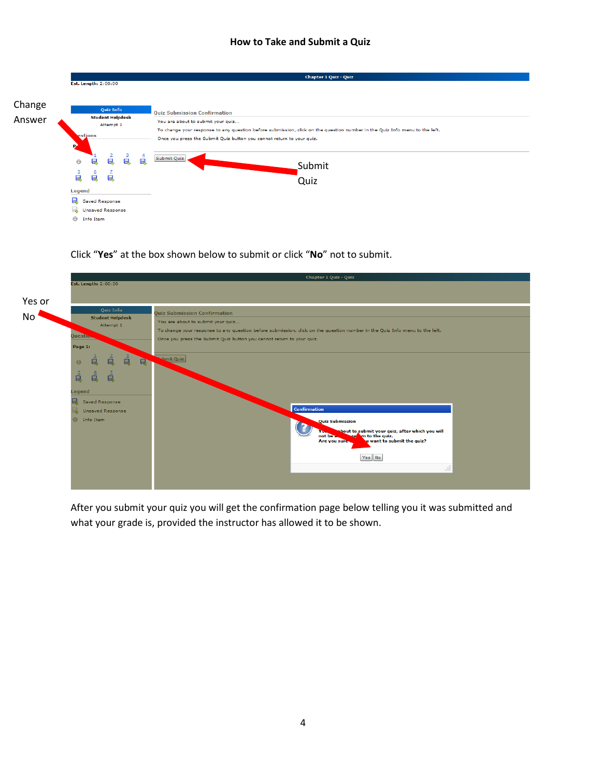|        |          |                         |                          |                        |   | <b>Chapter 1 Quiz - Quiz</b>                                                                                               |  |  |  |  |
|--------|----------|-------------------------|--------------------------|------------------------|---|----------------------------------------------------------------------------------------------------------------------------|--|--|--|--|
|        |          | Est. Length: 2:00:00    |                          |                        |   |                                                                                                                            |  |  |  |  |
|        |          |                         |                          |                        |   |                                                                                                                            |  |  |  |  |
|        |          |                         |                          |                        |   |                                                                                                                            |  |  |  |  |
| Change |          |                         |                          |                        |   |                                                                                                                            |  |  |  |  |
|        |          |                         | <b>Quiz Info</b>         |                        |   | <b>Ouiz Submission Confirmation</b>                                                                                        |  |  |  |  |
| Answer |          |                         | <b>Student Helpdesk</b>  |                        |   |                                                                                                                            |  |  |  |  |
|        |          |                         | Attempt 1                |                        |   | You are about to submit your quiz                                                                                          |  |  |  |  |
|        |          |                         |                          |                        |   | To change your response to any question before submission, click on the question number in the Quiz Info menu to the left. |  |  |  |  |
|        |          | estions                 |                          |                        |   | Once you press the Submit Quiz button you cannot return to your quiz.                                                      |  |  |  |  |
|        | РÈ       |                         |                          |                        |   |                                                                                                                            |  |  |  |  |
|        |          |                         |                          |                        |   |                                                                                                                            |  |  |  |  |
|        |          |                         | $\overline{2}$           | $\frac{3}{\mathbf{Q}}$ | é | Submit Quiz                                                                                                                |  |  |  |  |
|        | $\Theta$ | Q                       | Q                        |                        |   | Submit                                                                                                                     |  |  |  |  |
|        |          | $\epsilon$              | ∠                        |                        |   |                                                                                                                            |  |  |  |  |
|        | 眞        | Ū.                      | $\overline{\phantom{a}}$ |                        |   |                                                                                                                            |  |  |  |  |
|        |          |                         |                          |                        |   | Quiz                                                                                                                       |  |  |  |  |
|        | Legend   |                         |                          |                        |   |                                                                                                                            |  |  |  |  |
|        | 臥        | <b>Saved Response</b>   |                          |                        |   |                                                                                                                            |  |  |  |  |
|        |          |                         |                          |                        |   |                                                                                                                            |  |  |  |  |
|        |          | <b>Unsaved Response</b> |                          |                        |   |                                                                                                                            |  |  |  |  |
|        | Θ        | Info Item               |                          |                        |   |                                                                                                                            |  |  |  |  |
|        |          |                         |                          |                        |   |                                                                                                                            |  |  |  |  |

# Click "**Yes**" at the box shown below to submit or click "**No**" not to submit.



After you submit your quiz you will get the confirmation page below telling you it was submitted and what your grade is, provided the instructor has allowed it to be shown.